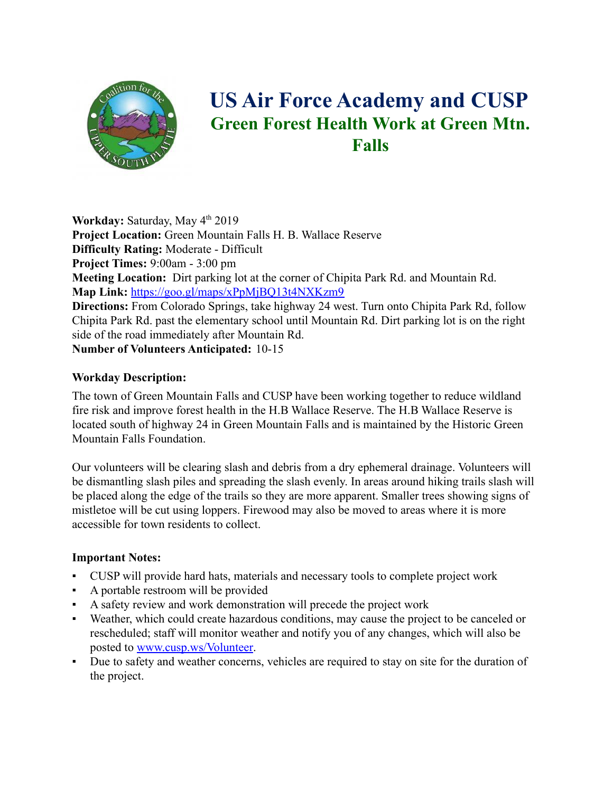

# **US Air Force Academy and CUSP Green Forest Health Work at Green Mtn. Falls**

**Workday:** Saturday, May 4<sup>th</sup> 2019 **Project Location:** Green Mountain Falls H. B. Wallace Reserve **Difficulty Rating:** Moderate - Difficult **Project Times:** 9:00am - 3:00 pm **Meeting Location:** Dirt parking lot at the corner of Chipita Park Rd. and Mountain Rd. **Map Link:** <https://goo.gl/maps/xPpMjBQ13t4NXKzm9> **Directions:** From Colorado Springs, take highway 24 west. Turn onto Chipita Park Rd, follow Chipita Park Rd. past the elementary school until Mountain Rd. Dirt parking lot is on the right side of the road immediately after Mountain Rd. **Number of Volunteers Anticipated:** 10-15

# **Workday Description:**

The town of Green Mountain Falls and CUSP have been working together to reduce wildland fire risk and improve forest health in the H.B Wallace Reserve. The H.B Wallace Reserve is located south of highway 24 in Green Mountain Falls and is maintained by the Historic Green Mountain Falls Foundation.

Our volunteers will be clearing slash and debris from a dry ephemeral drainage. Volunteers will be dismantling slash piles and spreading the slash evenly. In areas around hiking trails slash will be placed along the edge of the trails so they are more apparent. Smaller trees showing signs of mistletoe will be cut using loppers. Firewood may also be moved to areas where it is more accessible for town residents to collect.

# **Important Notes:**

- CUSP will provide hard hats, materials and necessary tools to complete project work
- A portable restroom will be provided
- A safety review and work demonstration will precede the project work
- Weather, which could create hazardous conditions, may cause the project to be canceled or rescheduled; staff will monitor weather and notify you of any changes, which will also be posted to [www.cusp.ws/Volunteer.](http://www.cusp.ws/Volunteer)
- Due to safety and weather concerns, vehicles are required to stay on site for the duration of the project.